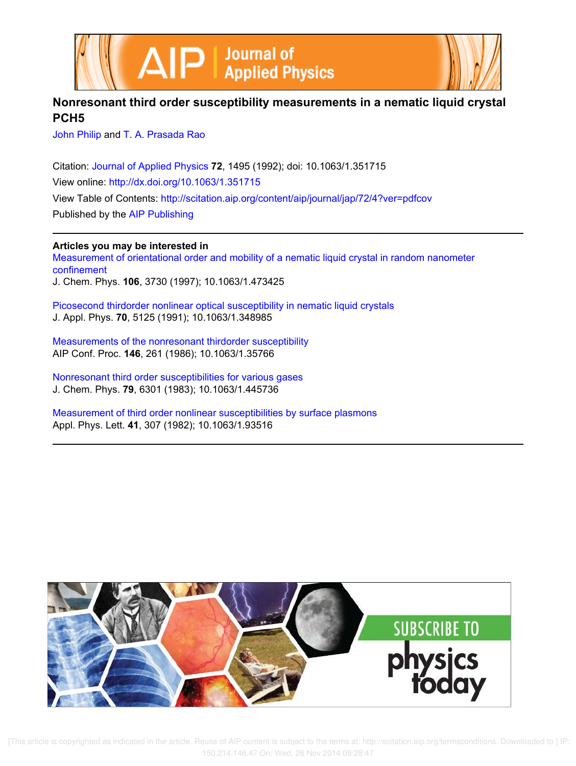



# **Nonresonant third order susceptibility measurements in a nematic liquid crystal PCH5**

John Philip and T. A. Prasada Rao

Citation: Journal of Applied Physics **72**, 1495 (1992); doi: 10.1063/1.351715 View online: http://dx.doi.org/10.1063/1.351715 View Table of Contents: http://scitation.aip.org/content/aip/journal/jap/72/4?ver=pdfcov Published by the AIP Publishing

# **Articles you may be interested in**

Measurement of orientational order and mobility of a nematic liquid crystal in random nanometer confinement J. Chem. Phys. **106**, 3730 (1997); 10.1063/1.473425

Picosecond thirdorder nonlinear optical susceptibility in nematic liquid crystals J. Appl. Phys. **70**, 5125 (1991); 10.1063/1.348985

Measurements of the nonresonant thirdorder susceptibility AIP Conf. Proc. **146**, 261 (1986); 10.1063/1.35766

Nonresonant third order susceptibilities for various gases J. Chem. Phys. **79**, 6301 (1983); 10.1063/1.445736

Measurement of third order nonlinear susceptibilities by surface plasmons Appl. Phys. Lett. **41**, 307 (1982); 10.1063/1.93516



 [This article is copyrighted as indicated in the article. Reuse of AIP content is subject to the terms at: http://scitation.aip.org/termsconditions. Downloaded to ] IP: 150.214.146.47 On: Wed, 26 Nov 2014 09:28:47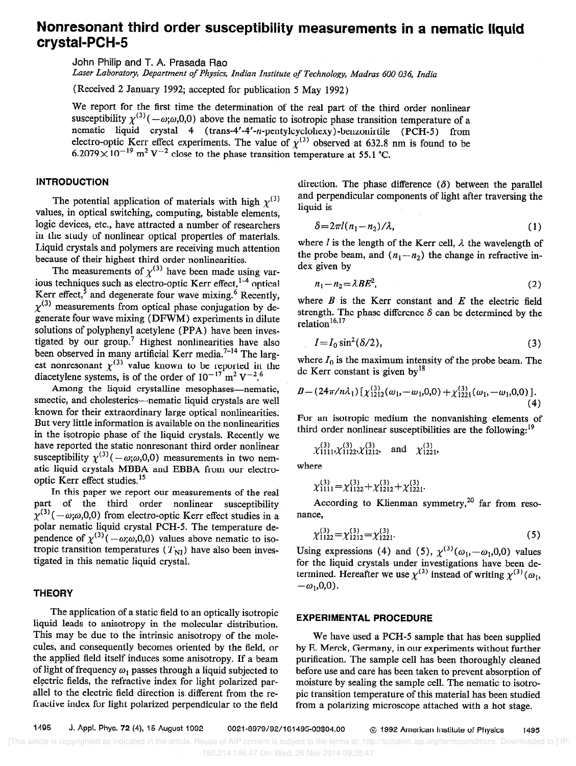# Nonresonant third order susceptibility measurements in a nematic liquid crystal-PCH-5

John Philip and T. A. Prasada Rao

Laser Laboratory, Department of Physics, Indian Institute of Technology, Madras 600 036, India

(Received 2 January 1992; accepted for publication 5 May 1992)

We report for the first time the determination of the real part of the third order nonlinear susceptibility  $\gamma^{(3)}(-\omega;\omega,0,0)$  above the nematic to isotropic phase transition temperature of a nematic liquid crystal 4 (trans-4'-4'-n-pentylcyclohexy)-benzonirtile (PCH-5) from electro-optic Kerr effect experiments. The value of  $\chi^{(3)}$  observed at 632.8 nm is found to be  $6.2079 \times 10^{-19}$  m<sup>2</sup> V<sup>-2</sup> close to the phase transition temperature at 55.1 °C.

# INTRODUCTION

The potential application of materials with high  $\gamma^{(3)}$ values, in optical switching, computing, bistable elements, logic devices, etc., have attracted a number of researchers in the study of nonlinear optical properties of materials. Liquid crystals and polymers are receiving much attention because of their highest third order nonlinearities.

The measurements of  $\chi^{(3)}$  have been made using various techniques such as electro-optic Kerr effect, coptical Kerr effect, and degenerate four wave mixing. $\epsilon$  Recently,  $x^{(3)}$  measurements from optical phase conjugation by degenerate four wave mixing (DFWM) experiments in dilute solutions of polyphenyl acetylene (PPA) have been investigated by our group.7 Highest nonlinearities have also been observed in many artificial Kerr media.<sup>7-14</sup> The largest nonresonant  $\chi^{(3)}$  value known to be reported in the diacetylene systems, is of the order of  $10^{-17}$  m<sup>2</sup> V<sup>-2.6</sup>

Among the liquid crystalline mesophases-nematic, smectic, and cholesterics—nematic liquid crystals are well known for their extraordinary large optical nonlinearities. But very little information is available on the nonlinearities in the isotropic phase of the liquid crystals. Recently we have reported the static nonresonant third order nonlinear susceptibility  $\chi^{(3)}(-\omega;\omega,0,0)$  measurements in two nematic liquid crystals MBBA and EBBA from our electrooptic Kerr effect studies.15

In this paper we report our measurements of the real pati of the third order nonlinear susceptibility  $\chi^{(3)}(-\omega;\omega,0,0)$  from electro-optic Kerr effect studies in a polar nematic liquid crystal PCH-5. The temperature dependence of  $\chi^{(3)}(-\omega;\omega,0,0)$  values above nematic to isotropic transition temperatures  $(T_{\text{NI}})$  have also been investigated in this nematic liquid crystal.

# **THEORY**

The application of a static field to an optically isotropic liquid leads to anisotropy in the molecular distribution. This may be due to the intrinsic anisotropy of the molecules, and consequently becomes oriented by the field, or the applied field itself induces some anisotropy. If a beam of light of frequency  $\omega_1$  passes through a liquid subjected to electric fields, the refractive index for light polarized parallel to the electric field direction is different from the refractive index for light polarized perpendicular to the field

direction. The phase difference  $(\delta)$  between the parallel and perpendicular components of light after traversing the liquid is

$$
\delta = 2\pi l(n_1 - n_2)/\lambda, \qquad (1)
$$

where *l* is the length of the Kerr cell,  $\lambda$  the wavelength of the probe beam, and  $(n_1 - n_2)$  the change in refractive index given by

$$
n_1 - n_2 = \lambda BE^2, \tag{2}
$$

where  $B$  is the Kerr constant and  $E$  the electric field strength. The phase difference  $\delta$  can be determined by the relation<sup>16,17</sup>

$$
I = I_0 \sin^2(\delta/2),\tag{3}
$$

where  $I_0$  is the maximum intensity of the probe beam. The dc Kerr constant is given by<sup>18</sup>

$$
B = (24\pi/n\lambda_1) \left[ \chi_{1212}^{(3)}(\omega_1, -\omega_1, 0, 0) + \chi_{1221}^{(3)}(\omega_1, -\omega_1, 0, 0) \right].
$$
  
(4)

For an isotropic medium the nonvanishing elements of third order nonlinear susceptibilities are the following:<sup>19</sup>

$$
\chi_{1111}^{(3)}\chi_{1122}^{(3)}\chi_{1212}^{(3)}
$$
, and  $\chi_{1221}^{(3)}$ ,

where

$$
\chi_{1111}^{(3)} = \chi_{1122}^{(3)} + \chi_{1212}^{(3)} + \chi_{1221}^{(3)}.
$$

According to Klienman symmetry,<sup>20</sup> far from resonance,

$$
\chi_{1122}^{(3)} = \chi_{1212}^{(3)} = \chi_{1221}^{(3)}.
$$
 (5)

Using expressions (4) and (5),  $\chi^{(3)}(\omega_1, -\omega_1, 0, 0)$  values for the liquid crystals under investigations have been determined. Hereafter we use  $\chi^{(3)}$  instead of writing  $\chi^{(3)}(\omega_1,$  $-\omega_1, 0, 0$ .

### EXPERIMENTAL PROCEDURE

We have used a PCH-5 sample that has been supplied by E. Merck, Germany, in our experiments without further purification. The sample cell has been thoroughly cleaned before use and care has been taken to prevent absorption of moisture by sealing the sample cell. The nematic to isotropic transition temperature of this material has been studied from a polarizing microscope attached with a hot stage.

 <sup>[</sup>This article is copyrighted as indicated in the article. Reuse of AIP content is subject to the terms at: http://scitation.aip.org/termsconditions. Downloaded to ] IP: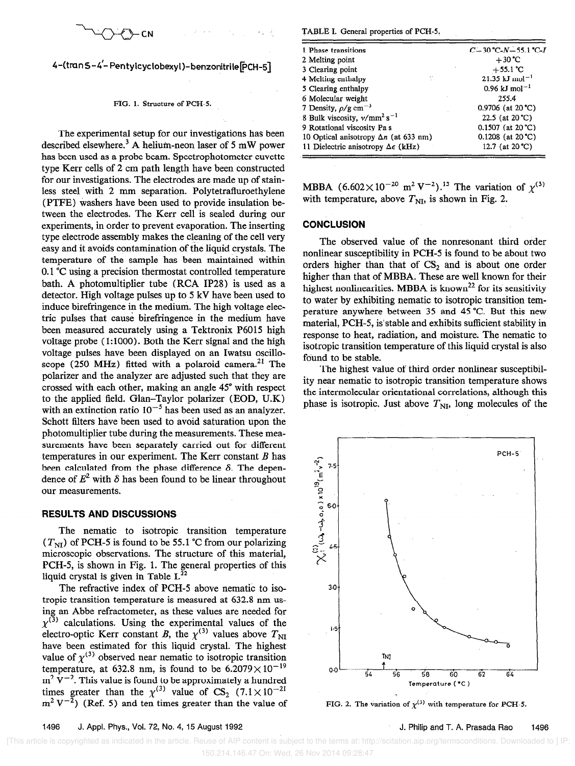$\rightarrow$ 

4-(tran 5-4'-Pentylcyclobexyl)-benzonitrile [PCH-5]

#### FIG. 1. Structure of PCH-5.

The experimental setup for our investigations has been described elsewhere.<sup>3</sup> A helium-neon laser of 5 mW power has been used as a probe beam. Spectrophotometer cuvette type Kerr cells of 2 cm path length have been constructed for our investigations. The electrodes are made up of stainless steel with 2 mm separation. Polytetrafluroethylene (PTFE) washers have been used to provide insulation between the electrodes. The Kerr cell is sealed during our experiments, in order to prevent evaporation. The inserting type electrode assembly makes the cleaning of the cell very easy and it avoids contamination of the liquid crystals. The temperature of the sample has been maintained within 0.1 "C using a precision thermostat controlled temperature bath. A photomultiplier tube (RCA IP28) is used as a detector. High voltage pulses up to 5 kV have been used to induce birefringence in the medium. The high voltage electric pulses that cause birefringence in the medium have been measured accurately using a Tektronix P6015 high voltage probe (1:lOOO). Both the Kerr signal and the high voltage pulses have been displayed on an Iwatsu oscilloscope (250 MHz) fitted with a polaroid camera.<sup>21</sup> The polarizer and the analyzer are adjusted such that they are crossed with each other, making an angle 45" with respect to the applied field. Glan-Taylor polarizer (EOD, U.K) with an extinction ratio  $10^{-5}$  has been used as an analyzer. Schott filters have been used to avoid saturation upon the photomultiplier tube during the measurements. These measurements have been separately carried out for different temperatures in our experiment. The Kerr constant  $B$  has been calculated from the phase difference  $\delta$ . The dependence of  $E^2$  with  $\delta$  has been found to be linear throughout our measurements.

## RESULTS AND DISCUSSIONS

The nematic to isotropic transition temperature  $(T<sub>NI</sub>)$  of PCH-5 is found to be 55.1 °C from our polarizing microscopic observations. The structure of this material, PCH-5, is shown in Fig. 1. The general properties of this liquid crystal is given in Table  $I^{22}$ 

The refractive index of PCH-5 above nematic to isotropic transition temperature is measured at 632.8 nm using an Abbe refractometer, as these values are needed for  $x^{(3)}$  calculations. Using the experimental values of the electro-optic Kerr constant B, the  $\chi^{(3)}$  values above  $T_{\text{NI}}$ have been estimated for this liquid crystal. The highest value of  $\chi^{(3)}$  observed near nematic to isotropic transition temperature, at 632.8 nm, is found to be 6.2079 $\times$ 10<sup>-19</sup>  $m^2$  V<sup>-2</sup>. This value is found to be approximately a hundred times greater than the  $\chi^{(3)}$  value of CS<sub>2</sub> (7.1 × 10<sup>-21</sup>)  $m^2 V^{-2}$ ) (Ref. 5) and ten times greater than the value of

TABLE 1. General properties of PCH-5.

| 1 Phase transitions                              | $C-30$ °C- $N-55.1$ °C- $I$         |
|--------------------------------------------------|-------------------------------------|
| 2 Melting point                                  | $+30^{\circ}$ C                     |
| 3 Clearing point                                 | $+55.1 °C$                          |
| Ħ.<br>4 Melting enthalpy                         | $21.35 \text{ kJ} \text{ mol}^{-1}$ |
| 5 Clearing enthalpy                              | $0.96$ kJ mol <sup>-1</sup>         |
| 6 Molecular weight                               | 255.4                               |
| 7 Density, $\rho/g \text{ cm}^{-3}$              | $0.9706$ (at 20 °C)                 |
| 8 Bulk viscosity, $v/mm^2 s^{-1}$                | 22.5 (at 20 °C)                     |
| 9 Rotational viscosity Pa s                      | $0.1507$ (at 20 °C)                 |
| 10 Optical anisotropy $\Delta n$ (at 633 nm)     | $0.1208$ (at 20 °C)                 |
| 11 Dielectric anisotropy $\Delta \epsilon$ (kHz) | 12.7 (at $20^{\circ}$ C)            |

MBBA  $(6.602 \times 10^{-20} \text{ m}^2 \text{ V}^{-2})$ .<sup>15</sup> The variation of  $\chi^{(3)}$ with temperature, above  $T_{\text{NI}}$ , is shown in Fig. 2.

### **CONCLUSION**

The observed value of the nonresonant third order nonlinear susceptibility in PCH-5 is found to be about two orders higher than that of  $CS_2$  and is about one order higher than that of MBBA. These are well known for their highest nonlinearities. MBBA is known<sup>22</sup> for its sensitivity to water by exhibiting nematic to isotropic transition temperature anywhere between 35 and 45 "C. But this new material, PCH-5, is'stable and exhibits sufficient stability in response to heat, radiation, and moisture. The nematic to isotropic transition temperature of this liquid crystal is also found to be stable.

The highest value of third order nonlinear susceptibility near nematic to isotropic transition temperature shows the intermolecular orientational correlations, although this phase is isotropic. Just above  $T_{\text{NI}}$ , long molecules of the



FIG. 2. The variation of  $\chi^{(3)}$  with temperature for PCH-5.

 <sup>[</sup>This article is copyrighted as indicated in the article. Reuse of AIP content is subject to the terms at: http://scitation.aip.org/termsconditions. Downloaded to ] IP: 150.214.146.47 On: Wed, 26 Nov 2014 09:28:47